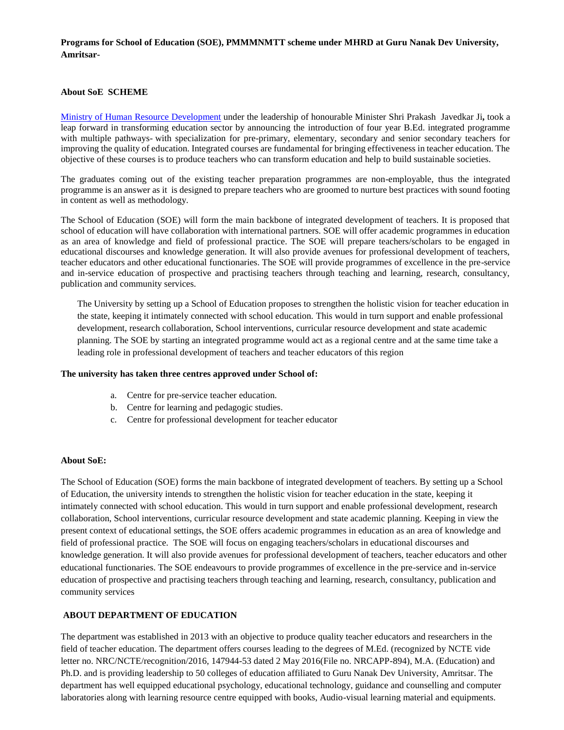**Programs for School of Education (SOE), PMMMNMTT scheme under MHRD at Guru Nanak Dev University, Amritsar-**

## **About SoE SCHEME**

[Ministry of Human Resource Development](http://mhrd.gov.in/) under the leadership of honourable Minister Shri Prakash Javedkar Ji**,** took a leap forward in transforming education sector by announcing the introduction of four year B.Ed. integrated programme with multiple pathways- with specialization for pre-primary, elementary, secondary and senior secondary teachers for improving the quality of education. Integrated courses are fundamental for bringing effectiveness in teacher education. The objective of these courses is to produce teachers who can transform education and help to build sustainable societies.

The graduates coming out of the existing teacher preparation programmes are non-employable, thus the integrated programme is an answer as it is designed to prepare teachers who are groomed to nurture best practices with sound footing in content as well as methodology.

The School of Education (SOE) will form the main backbone of integrated development of teachers. It is proposed that school of education will have collaboration with international partners. SOE will offer academic programmes in education as an area of knowledge and field of professional practice. The SOE will prepare teachers/scholars to be engaged in educational discourses and knowledge generation. It will also provide avenues for professional development of teachers, teacher educators and other educational functionaries. The SOE will provide programmes of excellence in the pre-service and in-service education of prospective and practising teachers through teaching and learning, research, consultancy, publication and community services.

The University by setting up a School of Education proposes to strengthen the holistic vision for teacher education in the state, keeping it intimately connected with school education. This would in turn support and enable professional development, research collaboration, School interventions, curricular resource development and state academic planning. The SOE by starting an integrated programme would act as a regional centre and at the same time take a leading role in professional development of teachers and teacher educators of this region

### **The university has taken three centres approved under School of:**

- a. Centre for pre-service teacher education.
- b. Centre for learning and pedagogic studies.
- c. Centre for professional development for teacher educator

### **About SoE:**

The School of Education (SOE) forms the main backbone of integrated development of teachers. By setting up a School of Education, the university intends to strengthen the holistic vision for teacher education in the state, keeping it intimately connected with school education. This would in turn support and enable professional development, research collaboration, School interventions, curricular resource development and state academic planning. Keeping in view the present context of educational settings, the SOE offers academic programmes in education as an area of knowledge and field of professional practice. The SOE will focus on engaging teachers/scholars in educational discourses and knowledge generation. It will also provide avenues for professional development of teachers, teacher educators and other educational functionaries. The SOE endeavours to provide programmes of excellence in the pre-service and in-service education of prospective and practising teachers through teaching and learning, research, consultancy, publication and community services

### **ABOUT DEPARTMENT OF EDUCATION**

The department was established in 2013 with an objective to produce quality teacher educators and researchers in the field of teacher education. The department offers courses leading to the degrees of M.Ed. (recognized by NCTE vide letter no. NRC/NCTE/recognition/2016, 147944-53 dated 2 May 2016(File no. NRCAPP-894), M.A. (Education) and Ph.D. and is providing leadership to 50 colleges of education affiliated to Guru Nanak Dev University, Amritsar. The department has well equipped educational psychology, educational technology, guidance and counselling and computer laboratories along with learning resource centre equipped with books, Audio-visual learning material and equipments.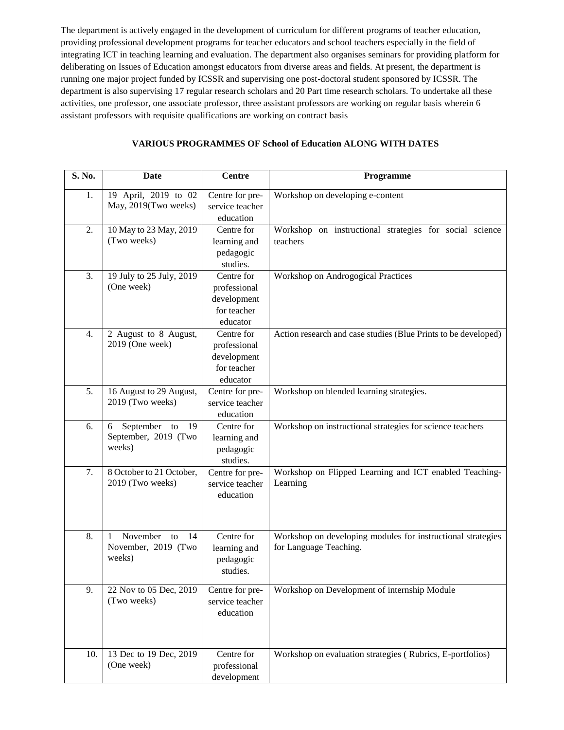The department is actively engaged in the development of curriculum for different programs of teacher education, providing professional development programs for teacher educators and school teachers especially in the field of integrating ICT in teaching learning and evaluation. The department also organises seminars for providing platform for deliberating on Issues of Education amongst educators from diverse areas and fields. At present, the department is running one major project funded by ICSSR and supervising one post-doctoral student sponsored by ICSSR. The department is also supervising 17 regular research scholars and 20 Part time research scholars. To undertake all these activities, one professor, one associate professor, three assistant professors are working on regular basis wherein 6 assistant professors with requisite qualifications are working on contract basis

| S. No. | Date                                                         | <b>Centre</b>                                                        | Programme                                                                             |
|--------|--------------------------------------------------------------|----------------------------------------------------------------------|---------------------------------------------------------------------------------------|
| 1.     | 19 April, 2019 to 02<br>May, 2019(Two weeks)                 | Centre for pre-<br>service teacher<br>education                      | Workshop on developing e-content                                                      |
| 2.     | 10 May to 23 May, 2019<br>(Two weeks)                        | Centre for<br>learning and<br>pedagogic<br>studies.                  | Workshop on instructional strategies for social science<br>teachers                   |
| 3.     | 19 July to 25 July, 2019<br>(One week)                       | Centre for<br>professional<br>development<br>for teacher<br>educator | Workshop on Androgogical Practices                                                    |
| 4.     | 2 August to 8 August,<br>2019 (One week)                     | Centre for<br>professional<br>development<br>for teacher<br>educator | Action research and case studies (Blue Prints to be developed)                        |
| 5.     | 16 August to 29 August,<br>2019 (Two weeks)                  | Centre for pre-<br>service teacher<br>education                      | Workshop on blended learning strategies.                                              |
| 6.     | 19<br>September<br>6<br>to<br>September, 2019 (Two<br>weeks) | Centre for<br>learning and<br>pedagogic<br>studies.                  | Workshop on instructional strategies for science teachers                             |
| 7.     | 8 October to 21 October,<br>2019 (Two weeks)                 | Centre for pre-<br>service teacher<br>education                      | Workshop on Flipped Learning and ICT enabled Teaching-<br>Learning                    |
| 8.     | November<br>14<br>1<br>to<br>November, 2019 (Two<br>weeks)   | Centre for<br>learning and<br>pedagogic<br>studies.                  | Workshop on developing modules for instructional strategies<br>for Language Teaching. |
| 9.     | 22 Nov to 05 Dec, 2019<br>(Two weeks)                        | Centre for pre-<br>service teacher<br>education                      | Workshop on Development of internship Module                                          |
| 10.    | 13 Dec to 19 Dec, 2019<br>(One week)                         | Centre for<br>professional<br>development                            | Workshop on evaluation strategies (Rubrics, E-portfolios)                             |

## **VARIOUS PROGRAMMES OF School of Education ALONG WITH DATES**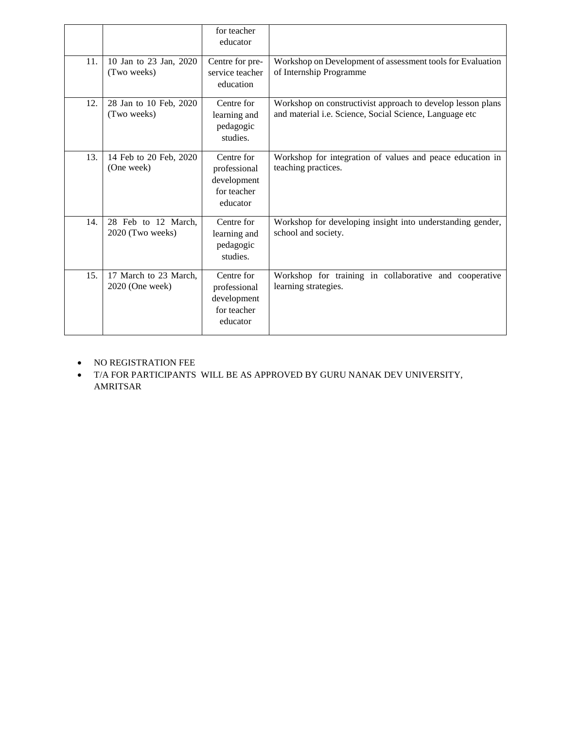|     |                                          | for teacher<br>educator                                              |                                                                                                                        |
|-----|------------------------------------------|----------------------------------------------------------------------|------------------------------------------------------------------------------------------------------------------------|
| 11. | 10 Jan to 23 Jan, 2020<br>(Two weeks)    | Centre for pre-<br>service teacher<br>education                      | Workshop on Development of assessment tools for Evaluation<br>of Internship Programme                                  |
| 12. | 28 Jan to 10 Feb, 2020<br>(Two weeks)    | Centre for<br>learning and<br>pedagogic<br>studies.                  | Workshop on constructivist approach to develop lesson plans<br>and material i.e. Science, Social Science, Language etc |
| 13. | 14 Feb to 20 Feb, 2020<br>(One week)     | Centre for<br>professional<br>development<br>for teacher<br>educator | Workshop for integration of values and peace education in<br>teaching practices.                                       |
| 14. | 28 Feb to 12 March,<br>2020 (Two weeks)  | Centre for<br>learning and<br>pedagogic<br>studies.                  | Workshop for developing insight into understanding gender,<br>school and society.                                      |
| 15. | 17 March to 23 March,<br>2020 (One week) | Centre for<br>professional<br>development<br>for teacher<br>educator | Workshop for training in collaborative and cooperative<br>learning strategies.                                         |

- NO REGISTRATION FEE
- T/A FOR PARTICIPANTS WILL BE AS APPROVED BY GURU NANAK DEV UNIVERSITY, AMRITSAR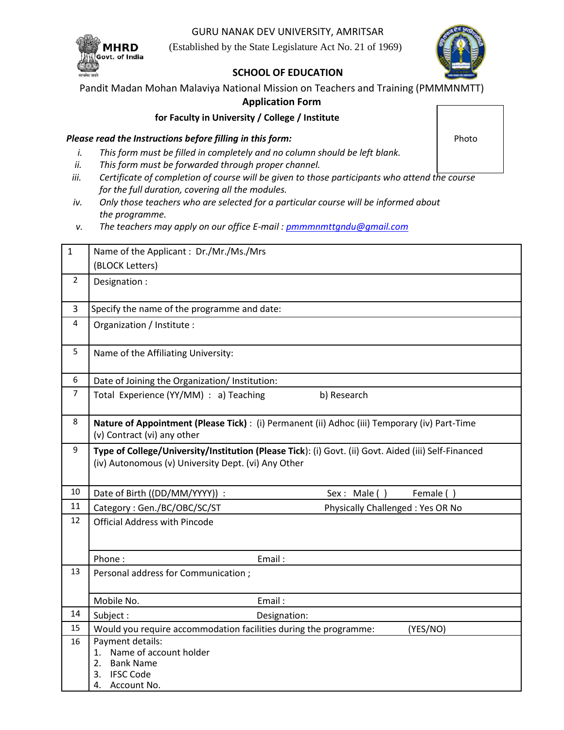GURU NANAK DEV UNIVERSITY, AMRITSAR

(Established by the State Legislature Act No. 21 of 1969)



# **SCHOOL OF EDUCATION**

Pandit Madan Mohan Malaviya National Mission on Teachers and Training (PMMMNMTT)

# **Application Form**

**for Faculty in University / College / Institute**

# *Please read the Instructions before filling in this form:* **Photo Photo Photo Photo Photo Photo Photo Photo Photo Photo Photo Photo Photo Photo Photo Photo Photo Photo Photo Photo Photo Photo Photo Photo Photo Photo Photo**

- *i. This form must be filled in completely and no column should be left blank.*
- *ii. This form must be forwarded through proper channel.*
- *iii. Certificate of completion of course will be given to those participants who attend the course for the full duration, covering all the modules.*
- *iv. Only those teachers who are selected for a particular course will be informed about the programme.*
- *v. The teachers may apply on our office E-mail [: pmmmnmttgndu@gmail.com](mailto:pmmmnmttgndu@gmail.com)*

| $\mathbf{1}$   | Name of the Applicant: Dr./Mr./Ms./Mrs                                                                                                                      |           |  |  |  |
|----------------|-------------------------------------------------------------------------------------------------------------------------------------------------------------|-----------|--|--|--|
|                | (BLOCK Letters)                                                                                                                                             |           |  |  |  |
| $\overline{2}$ | Designation :                                                                                                                                               |           |  |  |  |
| 3              | Specify the name of the programme and date:                                                                                                                 |           |  |  |  |
| 4              | Organization / Institute :                                                                                                                                  |           |  |  |  |
| 5              | Name of the Affiliating University:                                                                                                                         |           |  |  |  |
| 6              | Date of Joining the Organization/ Institution:                                                                                                              |           |  |  |  |
| $\overline{7}$ | Total Experience (YY/MM) : a) Teaching<br>b) Research                                                                                                       |           |  |  |  |
| 8              | Nature of Appointment (Please Tick) : (i) Permanent (ii) Adhoc (iii) Temporary (iv) Part-Time<br>(v) Contract (vi) any other                                |           |  |  |  |
| 9              | Type of College/University/Institution (Please Tick): (i) Govt. (ii) Govt. Aided (iii) Self-Financed<br>(iv) Autonomous (v) University Dept. (vi) Any Other |           |  |  |  |
| 10             | Date of Birth ((DD/MM/YYYY)) :<br>Sex: Male ()                                                                                                              | Female () |  |  |  |
| 11             | Physically Challenged: Yes OR No<br>Category: Gen./BC/OBC/SC/ST                                                                                             |           |  |  |  |
| 12             | <b>Official Address with Pincode</b>                                                                                                                        |           |  |  |  |
|                | Phone:<br>Email:                                                                                                                                            |           |  |  |  |
| 13             | Personal address for Communication;                                                                                                                         |           |  |  |  |
|                | Email:<br>Mobile No.                                                                                                                                        |           |  |  |  |
| 14             | Subject:<br>Designation:                                                                                                                                    |           |  |  |  |
| 15             | Would you require accommodation facilities during the programme:                                                                                            | (YES/NO)  |  |  |  |
| 16             | Payment details:<br>1. Name of account holder<br>2. Bank Name<br><b>IFSC Code</b><br>3.<br>Account No.<br>4.                                                |           |  |  |  |